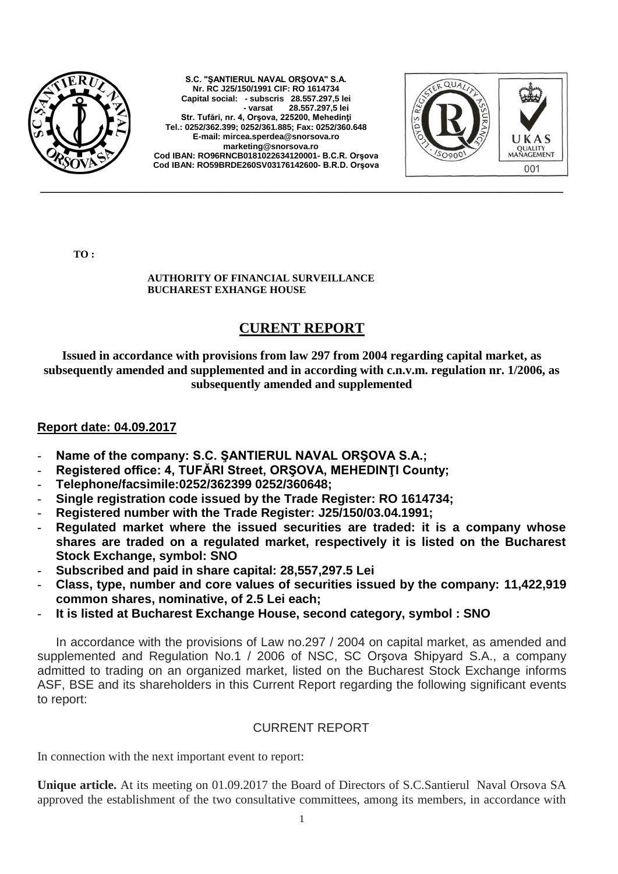

**S.C. "ŞANTIERUL NAVAL ORŞOVA" S.A. Nr. RC J25/150/1991 CIF: RO 1614734 Capital social: - subscris 28.557.297,5 lei - varsat 28.557.297,5 lei Str. Tufări, nr. 4, Orşova, 225200, Mehedinţi Tel.: 0252/362.399; 0252/361.885; Fax: 0252/360.648 E-mail: [mircea.sperdea@snorsova.ro](mailto:mircea.sperdea@snorsova.ro) [marketing@snorsova.ro](mailto:marketing@snorsova.ro) Cod IBAN: RO96RNCB0181022634120001- B.C.R. Orşova Cod IBAN: RO59BRDE260SV03176142600- B.R.D. Orşova**



**TO :**

## **AUTHORITY OF FINANCIAL SURVEILLANCE BUCHAREST EXHANGE HOUSE**

## **CURENT REPORT**

**Issued in accordance with provisions from law 297 from 2004 regarding capital market, as subsequently amended and supplemented and in according with c.n.v.m. regulation nr. 1/2006, as subsequently amended and supplemented**

## **Report date: 04.09.2017**

- Name of the company: S.C. SANTIERUL NAVAL ORSOVA S.A.;
- **Registered office: 4, TUFĂRI Street, ORŞOVA, MEHEDINŢI County;**
- **Telephone/facsimile:0252/362399 0252/360648;**
- **Single registration code issued by the Trade Register: RO 1614734;**
- **Registered number with the Trade Register: J25/150/03.04.1991;**
- **Regulated market where the issued securities are traded: it is a company whose shares are traded on a regulated market, respectively it is listed on the Bucharest Stock Exchange, symbol: SNO**
- **Subscribed and paid in share capital: 28,557,297.5 Lei**
- **Class, type, number and core values of securities issued by the company: 11,422,919 common shares, nominative, of 2.5 Lei each;**
- **It is listed at Bucharest Exchange House, second category, symbol : SNO**

In accordance with the provisions of Law no.297 / 2004 on capital market, as amended and supplemented and Regulation No.1 / 2006 of NSC, SC Orşova Shipyard S.A., a company admitted to trading on an organized market, listed on the Bucharest Stock Exchange informs ASF, BSE and its shareholders in this Current Report regarding the following significant events to report:

## CURRENT REPORT

In connection with the next important event to report:

**Unique article.** At its meeting on 01.09.2017 the Board of Directors of S.C.Santierul Naval Orsova SA approved the establishment of the two consultative committees, among its members, in accordance with